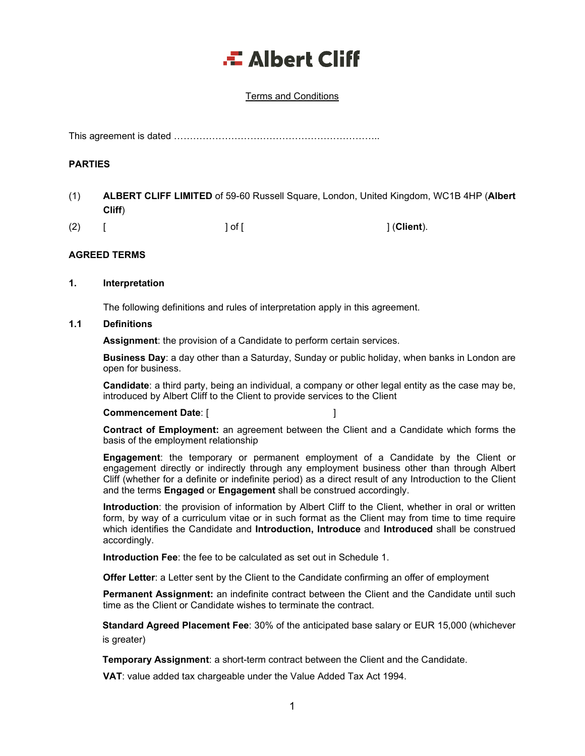# .<del>...</del> Albert Cliff

### Terms and Conditions

This agreement is dated ………………………………………………………..

#### **PARTIES**

(1) **ALBERT CLIFF LIMITED** of 59-60 Russell Square, London, United Kingdom, WC1B 4HP (**Albert Cliff**)

(2) [ ] of [ ] (**Client**).

### **AGREED TERMS**

#### **1. Interpretation**

The following definitions and rules of interpretation apply in this agreement.

#### **1.1 Definitions**

**Assignment**: the provision of a Candidate to perform certain services.

**Business Day**: a day other than a Saturday, Sunday or public holiday, when banks in London are open for business.

**Candidate**: a third party, being an individual, a company or other legal entity as the case may be, introduced by Albert Cliff to the Client to provide services to the Client

#### **Commencement Date**: [ ]

**Contract of Employment:** an agreement between the Client and a Candidate which forms the basis of the employment relationship

**Engagement**: the temporary or permanent employment of a Candidate by the Client or engagement directly or indirectly through any employment business other than through Albert Cliff (whether for a definite or indefinite period) as a direct result of any Introduction to the Client and the terms **Engaged** or **Engagement** shall be construed accordingly.

**Introduction**: the provision of information by Albert Cliff to the Client, whether in oral or written form, by way of a curriculum vitae or in such format as the Client may from time to time require which identifies the Candidate and **Introduction, Introduce** and **Introduced** shall be construed accordingly.

**Introduction Fee**: the fee to be calculated as set out in Schedule 1.

**Offer Letter**: a Letter sent by the Client to the Candidate confirming an offer of employment

**Permanent Assignment:** an indefinite contract between the Client and the Candidate until such time as the Client or Candidate wishes to terminate the contract.

**Standard Agreed Placement Fee**: 30% of the anticipated base salary or EUR 15,000 (whichever is greater)

**Temporary Assignment**: a short-term contract between the Client and the Candidate.

**VAT**: value added tax chargeable under the Value Added Tax Act 1994.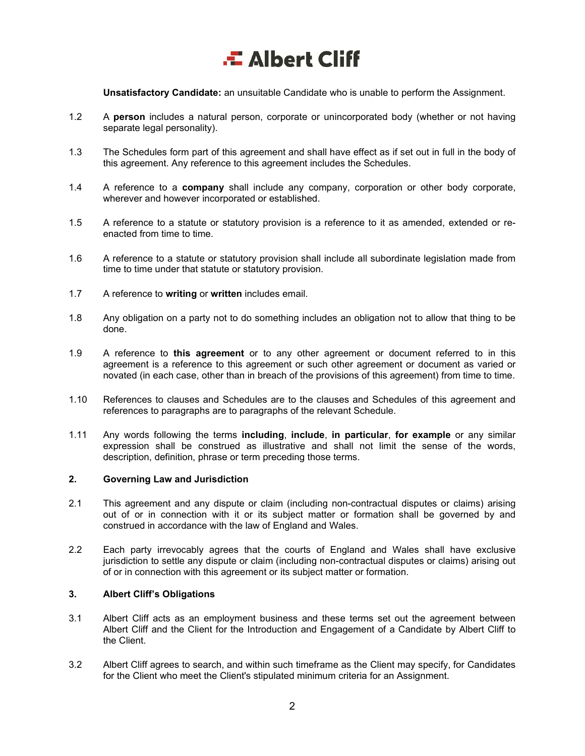**Unsatisfactory Candidate:** an unsuitable Candidate who is unable to perform the Assignment.

- 1.2 A **person** includes a natural person, corporate or unincorporated body (whether or not having separate legal personality).
- 1.3 The Schedules form part of this agreement and shall have effect as if set out in full in the body of this agreement. Any reference to this agreement includes the Schedules.
- 1.4 A reference to a **company** shall include any company, corporation or other body corporate, wherever and however incorporated or established.
- 1.5 A reference to a statute or statutory provision is a reference to it as amended, extended or reenacted from time to time.
- 1.6 A reference to a statute or statutory provision shall include all subordinate legislation made from time to time under that statute or statutory provision.
- 1.7 A reference to **writing** or **written** includes email.
- 1.8 Any obligation on a party not to do something includes an obligation not to allow that thing to be done.
- 1.9 A reference to **this agreement** or to any other agreement or document referred to in this agreement is a reference to this agreement or such other agreement or document as varied or novated (in each case, other than in breach of the provisions of this agreement) from time to time.
- 1.10 References to clauses and Schedules are to the clauses and Schedules of this agreement and references to paragraphs are to paragraphs of the relevant Schedule.
- 1.11 Any words following the terms **including**, **include**, **in particular**, **for example** or any similar expression shall be construed as illustrative and shall not limit the sense of the words, description, definition, phrase or term preceding those terms.

#### **2. Governing Law and Jurisdiction**

- 2.1 This agreement and any dispute or claim (including non-contractual disputes or claims) arising out of or in connection with it or its subject matter or formation shall be governed by and construed in accordance with the law of England and Wales.
- 2.2 Each party irrevocably agrees that the courts of England and Wales shall have exclusive jurisdiction to settle any dispute or claim (including non-contractual disputes or claims) arising out of or in connection with this agreement or its subject matter or formation.

### **3. Albert Cliff's Obligations**

- 3.1 Albert Cliff acts as an employment business and these terms set out the agreement between Albert Cliff and the Client for the Introduction and Engagement of a Candidate by Albert Cliff to the Client.
- 3.2 Albert Cliff agrees to search, and within such timeframe as the Client may specify, for Candidates for the Client who meet the Client's stipulated minimum criteria for an Assignment.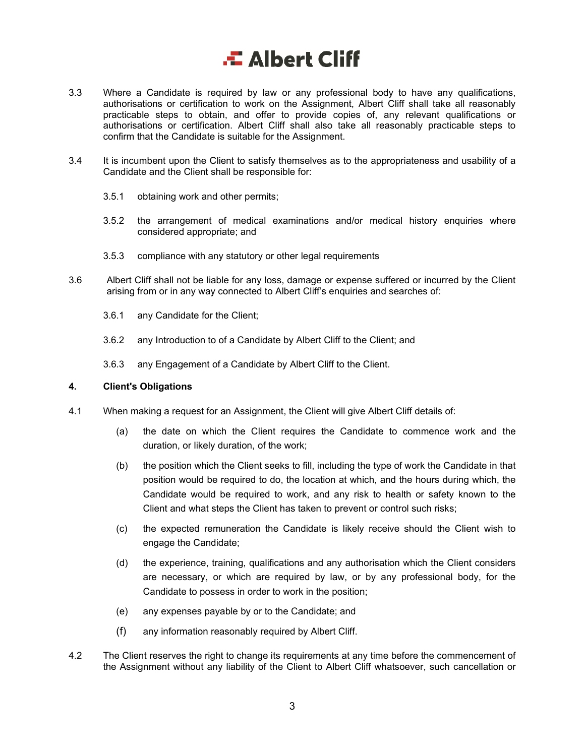- 3.3 Where a Candidate is required by law or any professional body to have any qualifications, authorisations or certification to work on the Assignment, Albert Cliff shall take all reasonably practicable steps to obtain, and offer to provide copies of, any relevant qualifications or authorisations or certification. Albert Cliff shall also take all reasonably practicable steps to confirm that the Candidate is suitable for the Assignment.
- 3.4 It is incumbent upon the Client to satisfy themselves as to the appropriateness and usability of a Candidate and the Client shall be responsible for:
	- 3.5.1 obtaining work and other permits;
	- 3.5.2 the arrangement of medical examinations and/or medical history enquiries where considered appropriate; and
	- 3.5.3 compliance with any statutory or other legal requirements
- 3.6 Albert Cliff shall not be liable for any loss, damage or expense suffered or incurred by the Client arising from or in any way connected to Albert Cliff's enquiries and searches of:
	- 3.6.1 any Candidate for the Client;
	- 3.6.2 any Introduction to of a Candidate by Albert Cliff to the Client; and
	- 3.6.3 any Engagement of a Candidate by Albert Cliff to the Client.

#### **4. Client's Obligations**

- 4.1 When making a request for an Assignment, the Client will give Albert Cliff details of:
	- (a) the date on which the Client requires the Candidate to commence work and the duration, or likely duration, of the work;
	- (b) the position which the Client seeks to fill, including the type of work the Candidate in that position would be required to do, the location at which, and the hours during which, the Candidate would be required to work, and any risk to health or safety known to the Client and what steps the Client has taken to prevent or control such risks;
	- (c) the expected remuneration the Candidate is likely receive should the Client wish to engage the Candidate;
	- (d) the experience, training, qualifications and any authorisation which the Client considers are necessary, or which are required by law, or by any professional body, for the Candidate to possess in order to work in the position;
	- (e) any expenses payable by or to the Candidate; and
	- (f) any information reasonably required by Albert Cliff.
- 4.2 The Client reserves the right to change its requirements at any time before the commencement of the Assignment without any liability of the Client to Albert Cliff whatsoever, such cancellation or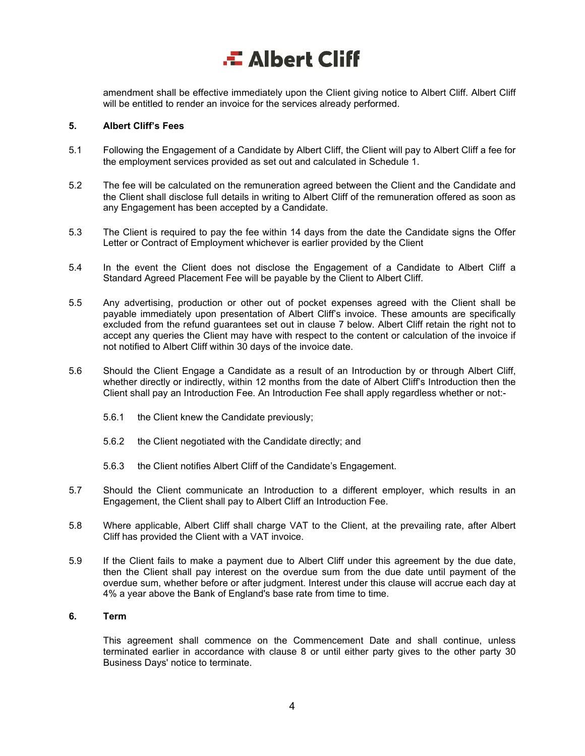amendment shall be effective immediately upon the Client giving notice to Albert Cliff. Albert Cliff will be entitled to render an invoice for the services already performed.

#### **5. Albert Cliff's Fees**

- 5.1 Following the Engagement of a Candidate by Albert Cliff, the Client will pay to Albert Cliff a fee for the employment services provided as set out and calculated in Schedule 1.
- 5.2 The fee will be calculated on the remuneration agreed between the Client and the Candidate and the Client shall disclose full details in writing to Albert Cliff of the remuneration offered as soon as any Engagement has been accepted by a Candidate.
- 5.3 The Client is required to pay the fee within 14 days from the date the Candidate signs the Offer Letter or Contract of Employment whichever is earlier provided by the Client
- 5.4 In the event the Client does not disclose the Engagement of a Candidate to Albert Cliff a Standard Agreed Placement Fee will be payable by the Client to Albert Cliff.
- 5.5 Any advertising, production or other out of pocket expenses agreed with the Client shall be payable immediately upon presentation of Albert Cliff's invoice. These amounts are specifically excluded from the refund guarantees set out in clause 7 below. Albert Cliff retain the right not to accept any queries the Client may have with respect to the content or calculation of the invoice if not notified to Albert Cliff within 30 days of the invoice date.
- 5.6 Should the Client Engage a Candidate as a result of an Introduction by or through Albert Cliff, whether directly or indirectly, within 12 months from the date of Albert Cliff's Introduction then the Client shall pay an Introduction Fee. An Introduction Fee shall apply regardless whether or not:-
	- 5.6.1 the Client knew the Candidate previously;
	- 5.6.2 the Client negotiated with the Candidate directly; and
	- 5.6.3 the Client notifies Albert Cliff of the Candidate's Engagement.
- 5.7 Should the Client communicate an Introduction to a different employer, which results in an Engagement, the Client shall pay to Albert Cliff an Introduction Fee.
- 5.8 Where applicable, Albert Cliff shall charge VAT to the Client, at the prevailing rate, after Albert Cliff has provided the Client with a VAT invoice.
- 5.9 If the Client fails to make a payment due to Albert Cliff under this agreement by the due date, then the Client shall pay interest on the overdue sum from the due date until payment of the overdue sum, whether before or after judgment. Interest under this clause will accrue each day at 4% a year above the Bank of England's base rate from time to time.

#### **6. Term**

This agreement shall commence on the Commencement Date and shall continue, unless terminated earlier in accordance with clause 8 or until either party gives to the other party 30 Business Days' notice to terminate.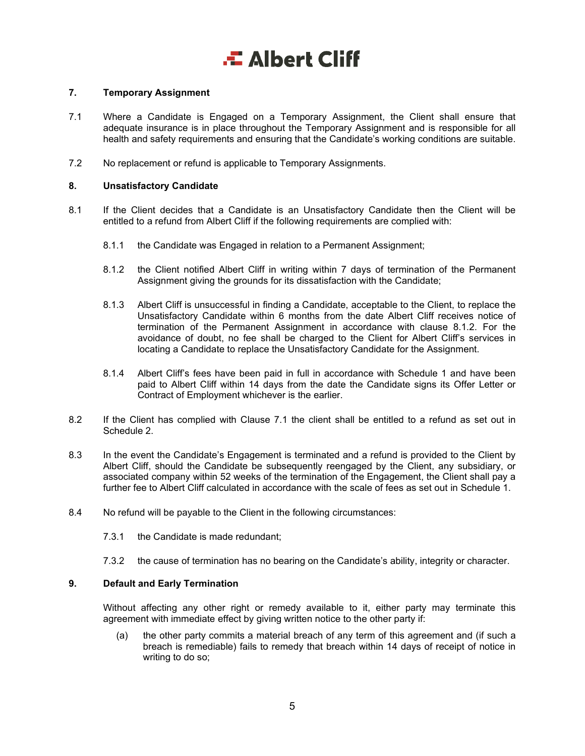### **7. Temporary Assignment**

- 7.1 Where a Candidate is Engaged on a Temporary Assignment, the Client shall ensure that adequate insurance is in place throughout the Temporary Assignment and is responsible for all health and safety requirements and ensuring that the Candidate's working conditions are suitable.
- 7.2 No replacement or refund is applicable to Temporary Assignments.

### **8. Unsatisfactory Candidate**

- 8.1 If the Client decides that a Candidate is an Unsatisfactory Candidate then the Client will be entitled to a refund from Albert Cliff if the following requirements are complied with:
	- 8.1.1 the Candidate was Engaged in relation to a Permanent Assignment;
	- 8.1.2 the Client notified Albert Cliff in writing within 7 days of termination of the Permanent Assignment giving the grounds for its dissatisfaction with the Candidate;
	- 8.1.3 Albert Cliff is unsuccessful in finding a Candidate, acceptable to the Client, to replace the Unsatisfactory Candidate within 6 months from the date Albert Cliff receives notice of termination of the Permanent Assignment in accordance with clause 8.1.2. For the avoidance of doubt, no fee shall be charged to the Client for Albert Cliff's services in locating a Candidate to replace the Unsatisfactory Candidate for the Assignment.
	- 8.1.4 Albert Cliff's fees have been paid in full in accordance with Schedule 1 and have been paid to Albert Cliff within 14 days from the date the Candidate signs its Offer Letter or Contract of Employment whichever is the earlier.
- 8.2 If the Client has complied with Clause 7.1 the client shall be entitled to a refund as set out in Schedule 2.
- 8.3 In the event the Candidate's Engagement is terminated and a refund is provided to the Client by Albert Cliff, should the Candidate be subsequently reengaged by the Client, any subsidiary, or associated company within 52 weeks of the termination of the Engagement, the Client shall pay a further fee to Albert Cliff calculated in accordance with the scale of fees as set out in Schedule 1.
- 8.4 No refund will be payable to the Client in the following circumstances:
	- 7.3.1 the Candidate is made redundant;
	- 7.3.2 the cause of termination has no bearing on the Candidate's ability, integrity or character.

#### **9. Default and Early Termination**

Without affecting any other right or remedy available to it, either party may terminate this agreement with immediate effect by giving written notice to the other party if:

(a) the other party commits a material breach of any term of this agreement and (if such a breach is remediable) fails to remedy that breach within 14 days of receipt of notice in writing to do so;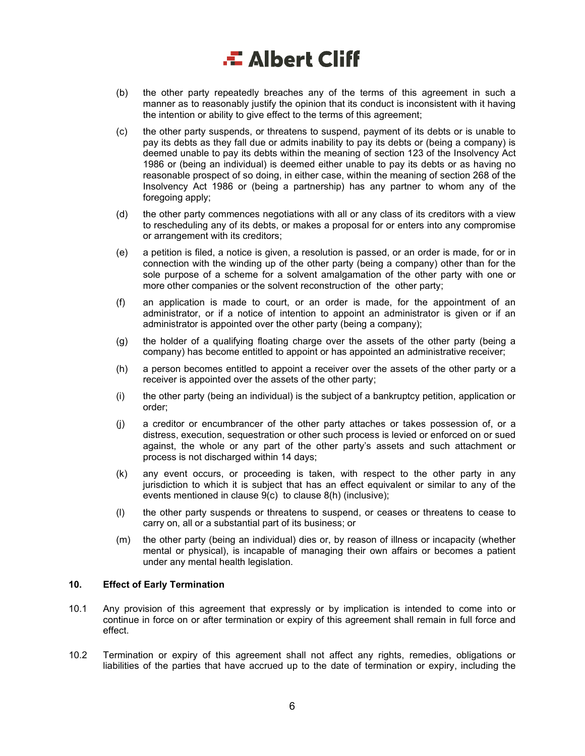# .<del>...</del> Albert Cliff

- (b) the other party repeatedly breaches any of the terms of this agreement in such a manner as to reasonably justify the opinion that its conduct is inconsistent with it having the intention or ability to give effect to the terms of this agreement;
- (c) the other party suspends, or threatens to suspend, payment of its debts or is unable to pay its debts as they fall due or admits inability to pay its debts or (being a company) is deemed unable to pay its debts within the meaning of section 123 of the Insolvency Act 1986 or (being an individual) is deemed either unable to pay its debts or as having no reasonable prospect of so doing, in either case, within the meaning of section 268 of the Insolvency Act 1986 or (being a partnership) has any partner to whom any of the foregoing apply;
- (d) the other party commences negotiations with all or any class of its creditors with a view to rescheduling any of its debts, or makes a proposal for or enters into any compromise or arrangement with its creditors;
- (e) a petition is filed, a notice is given, a resolution is passed, or an order is made, for or in connection with the winding up of the other party (being a company) other than for the sole purpose of a scheme for a solvent amalgamation of the other party with one or more other companies or the solvent reconstruction of the other party;
- (f) an application is made to court, or an order is made, for the appointment of an administrator, or if a notice of intention to appoint an administrator is given or if an administrator is appointed over the other party (being a company);
- (g) the holder of a qualifying floating charge over the assets of the other party (being a company) has become entitled to appoint or has appointed an administrative receiver;
- (h) a person becomes entitled to appoint a receiver over the assets of the other party or a receiver is appointed over the assets of the other party;
- (i) the other party (being an individual) is the subject of a bankruptcy petition, application or order;
- (j) a creditor or encumbrancer of the other party attaches or takes possession of, or a distress, execution, sequestration or other such process is levied or enforced on or sued against, the whole or any part of the other party's assets and such attachment or process is not discharged within 14 days;
- (k) any event occurs, or proceeding is taken, with respect to the other party in any jurisdiction to which it is subject that has an effect equivalent or similar to any of the events mentioned in clause 9(c) to clause 8(h) (inclusive);
- (l) the other party suspends or threatens to suspend, or ceases or threatens to cease to carry on, all or a substantial part of its business; or
- (m) the other party (being an individual) dies or, by reason of illness or incapacity (whether mental or physical), is incapable of managing their own affairs or becomes a patient under any mental health legislation.

#### **10. Effect of Early Termination**

- 10.1 Any provision of this agreement that expressly or by implication is intended to come into or continue in force on or after termination or expiry of this agreement shall remain in full force and effect.
- 10.2 Termination or expiry of this agreement shall not affect any rights, remedies, obligations or liabilities of the parties that have accrued up to the date of termination or expiry, including the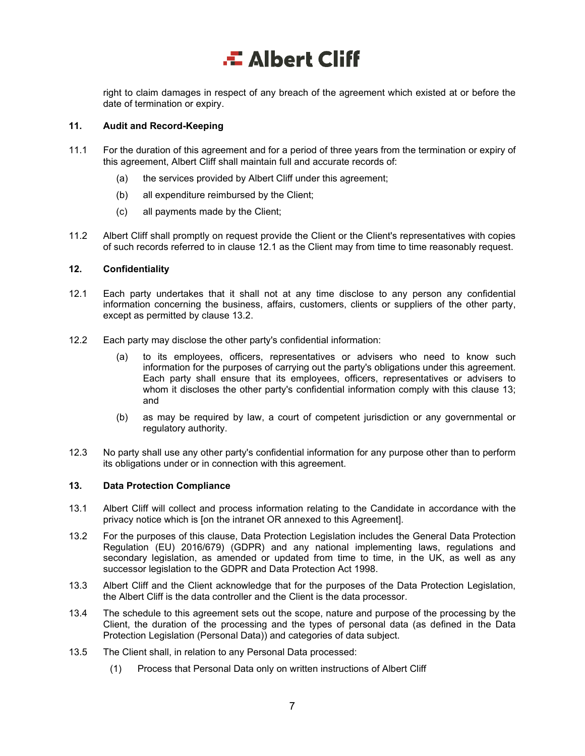right to claim damages in respect of any breach of the agreement which existed at or before the date of termination or expiry.

#### **11. Audit and Record-Keeping**

- 11.1 For the duration of this agreement and for a period of three years from the termination or expiry of this agreement, Albert Cliff shall maintain full and accurate records of:
	- (a) the services provided by Albert Cliff under this agreement;
	- (b) all expenditure reimbursed by the Client;
	- (c) all payments made by the Client;
- 11.2 Albert Cliff shall promptly on request provide the Client or the Client's representatives with copies of such records referred to in clause 12.1 as the Client may from time to time reasonably request.

### **12. Confidentiality**

- 12.1 Each party undertakes that it shall not at any time disclose to any person any confidential information concerning the business, affairs, customers, clients or suppliers of the other party, except as permitted by clause 13.2.
- 12.2 Each party may disclose the other party's confidential information:
	- (a) to its employees, officers, representatives or advisers who need to know such information for the purposes of carrying out the party's obligations under this agreement. Each party shall ensure that its employees, officers, representatives or advisers to whom it discloses the other party's confidential information comply with this clause 13; and
	- (b) as may be required by law, a court of competent jurisdiction or any governmental or regulatory authority.
- 12.3 No party shall use any other party's confidential information for any purpose other than to perform its obligations under or in connection with this agreement.

#### **13. Data Protection Compliance**

- 13.1 Albert Cliff will collect and process information relating to the Candidate in accordance with the privacy notice which is [on the intranet OR annexed to this Agreement].
- 13.2 For the purposes of this clause, Data Protection Legislation includes the General Data Protection Regulation (EU) 2016/679) (GDPR) and any national implementing laws, regulations and secondary legislation, as amended or updated from time to time, in the UK, as well as any successor legislation to the GDPR and Data Protection Act 1998.
- 13.3 Albert Cliff and the Client acknowledge that for the purposes of the Data Protection Legislation, the Albert Cliff is the data controller and the Client is the data processor.
- 13.4 The schedule to this agreement sets out the scope, nature and purpose of the processing by the Client, the duration of the processing and the types of personal data (as defined in the Data Protection Legislation (Personal Data)) and categories of data subject.
- 13.5 The Client shall, in relation to any Personal Data processed:
	- (1) Process that Personal Data only on written instructions of Albert Cliff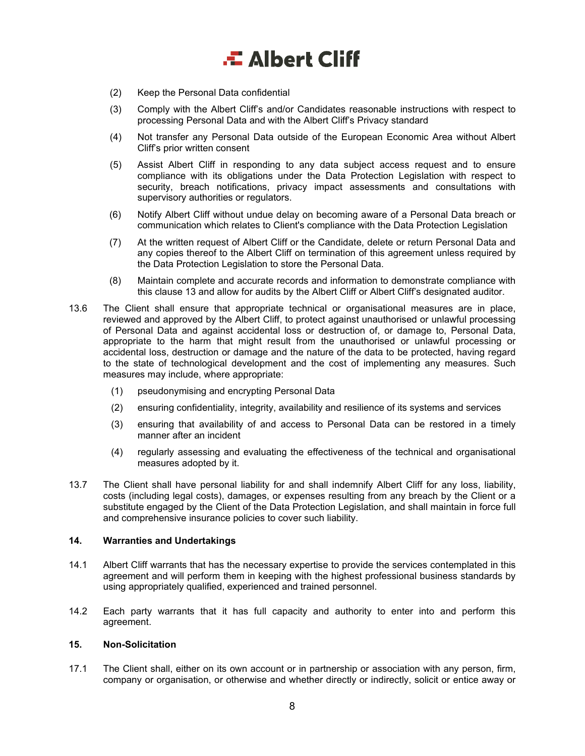- (2) Keep the Personal Data confidential
- (3) Comply with the Albert Cliff's and/or Candidates reasonable instructions with respect to processing Personal Data and with the Albert Cliff's Privacy standard
- (4) Not transfer any Personal Data outside of the European Economic Area without Albert Cliff's prior written consent
- (5) Assist Albert Cliff in responding to any data subject access request and to ensure compliance with its obligations under the Data Protection Legislation with respect to security, breach notifications, privacy impact assessments and consultations with supervisory authorities or regulators.
- (6) Notify Albert Cliff without undue delay on becoming aware of a Personal Data breach or communication which relates to Client's compliance with the Data Protection Legislation
- (7) At the written request of Albert Cliff or the Candidate, delete or return Personal Data and any copies thereof to the Albert Cliff on termination of this agreement unless required by the Data Protection Legislation to store the Personal Data.
- (8) Maintain complete and accurate records and information to demonstrate compliance with this clause 13 and allow for audits by the Albert Cliff or Albert Cliff's designated auditor.
- 13.6 The Client shall ensure that appropriate technical or organisational measures are in place, reviewed and approved by the Albert Cliff, to protect against unauthorised or unlawful processing of Personal Data and against accidental loss or destruction of, or damage to, Personal Data, appropriate to the harm that might result from the unauthorised or unlawful processing or accidental loss, destruction or damage and the nature of the data to be protected, having regard to the state of technological development and the cost of implementing any measures. Such measures may include, where appropriate:
	- (1) pseudonymising and encrypting Personal Data
	- (2) ensuring confidentiality, integrity, availability and resilience of its systems and services
	- (3) ensuring that availability of and access to Personal Data can be restored in a timely manner after an incident
	- (4) regularly assessing and evaluating the effectiveness of the technical and organisational measures adopted by it.
- 13.7 The Client shall have personal liability for and shall indemnify Albert Cliff for any loss, liability, costs (including legal costs), damages, or expenses resulting from any breach by the Client or a substitute engaged by the Client of the Data Protection Legislation, and shall maintain in force full and comprehensive insurance policies to cover such liability.

### **14. Warranties and Undertakings**

- 14.1 Albert Cliff warrants that has the necessary expertise to provide the services contemplated in this agreement and will perform them in keeping with the highest professional business standards by using appropriately qualified, experienced and trained personnel.
- 14.2 Each party warrants that it has full capacity and authority to enter into and perform this agreement.

#### **15. Non-Solicitation**

17.1 The Client shall, either on its own account or in partnership or association with any person, firm, company or organisation, or otherwise and whether directly or indirectly, solicit or entice away or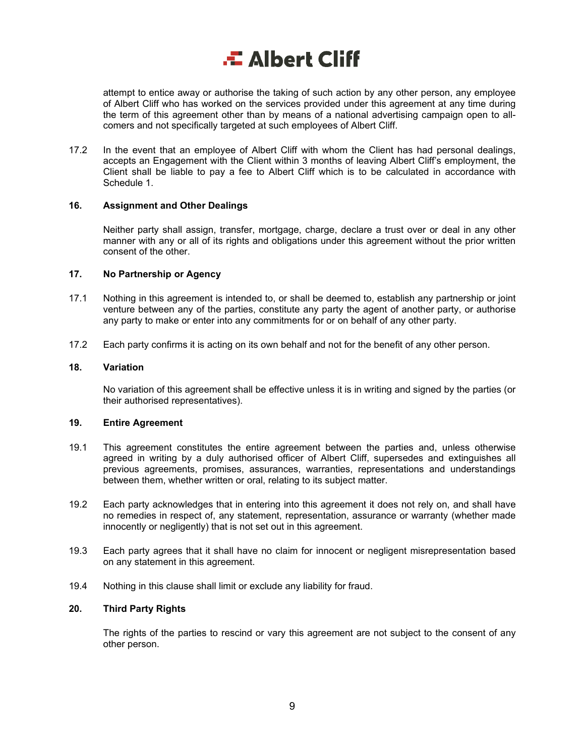attempt to entice away or authorise the taking of such action by any other person, any employee of Albert Cliff who has worked on the services provided under this agreement at any time during the term of this agreement other than by means of a national advertising campaign open to allcomers and not specifically targeted at such employees of Albert Cliff.

17.2 In the event that an employee of Albert Cliff with whom the Client has had personal dealings, accepts an Engagement with the Client within 3 months of leaving Albert Cliff's employment, the Client shall be liable to pay a fee to Albert Cliff which is to be calculated in accordance with Schedule 1.

### **16. Assignment and Other Dealings**

Neither party shall assign, transfer, mortgage, charge, declare a trust over or deal in any other manner with any or all of its rights and obligations under this agreement without the prior written consent of the other.

### **17. No Partnership or Agency**

- 17.1 Nothing in this agreement is intended to, or shall be deemed to, establish any partnership or joint venture between any of the parties, constitute any party the agent of another party, or authorise any party to make or enter into any commitments for or on behalf of any other party.
- 17.2 Each party confirms it is acting on its own behalf and not for the benefit of any other person.

#### **18. Variation**

No variation of this agreement shall be effective unless it is in writing and signed by the parties (or their authorised representatives).

#### **19. Entire Agreement**

- 19.1 This agreement constitutes the entire agreement between the parties and, unless otherwise agreed in writing by a duly authorised officer of Albert Cliff, supersedes and extinguishes all previous agreements, promises, assurances, warranties, representations and understandings between them, whether written or oral, relating to its subject matter.
- 19.2 Each party acknowledges that in entering into this agreement it does not rely on, and shall have no remedies in respect of, any statement, representation, assurance or warranty (whether made innocently or negligently) that is not set out in this agreement.
- 19.3 Each party agrees that it shall have no claim for innocent or negligent misrepresentation based on any statement in this agreement.
- 19.4 Nothing in this clause shall limit or exclude any liability for fraud.

## **20. Third Party Rights**

The rights of the parties to rescind or vary this agreement are not subject to the consent of any other person.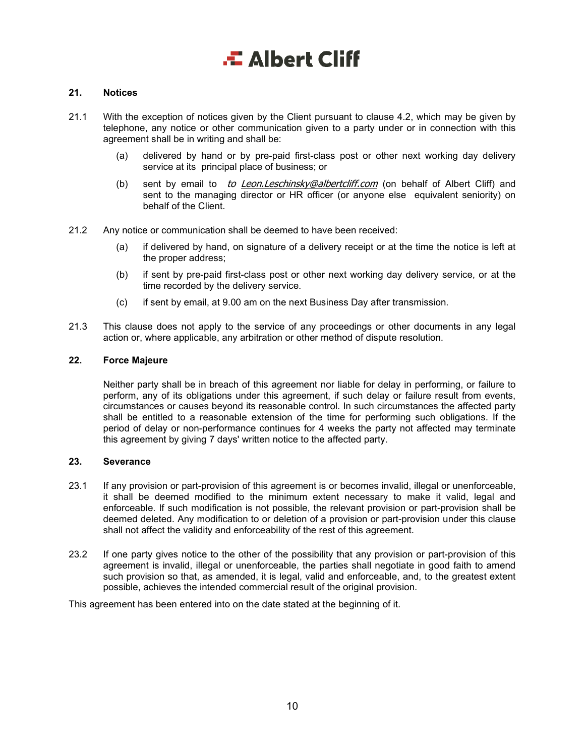### **21. Notices**

- 21.1 With the exception of notices given by the Client pursuant to clause 4.2, which may be given by telephone, any notice or other communication given to a party under or in connection with this agreement shall be in writing and shall be:
	- (a) delivered by hand or by pre-paid first-class post or other next working day delivery service at its principal place of business; or
	- (b) sent by email to to **Leon.Leschinsky@albertcliff.com** (on behalf of Albert Cliff) and sent to the managing director or HR officer (or anyone else equivalent seniority) on behalf of the Client.
- 21.2 Any notice or communication shall be deemed to have been received:
	- (a) if delivered by hand, on signature of a delivery receipt or at the time the notice is left at the proper address;
	- (b) if sent by pre-paid first-class post or other next working day delivery service, or at the time recorded by the delivery service.
	- (c) if sent by email, at 9.00 am on the next Business Day after transmission.
- 21.3 This clause does not apply to the service of any proceedings or other documents in any legal action or, where applicable, any arbitration or other method of dispute resolution.

#### **22. Force Majeure**

Neither party shall be in breach of this agreement nor liable for delay in performing, or failure to perform, any of its obligations under this agreement, if such delay or failure result from events, circumstances or causes beyond its reasonable control. In such circumstances the affected party shall be entitled to a reasonable extension of the time for performing such obligations. If the period of delay or non-performance continues for 4 weeks the party not affected may terminate this agreement by giving 7 days' written notice to the affected party.

### **23. Severance**

- 23.1 If any provision or part-provision of this agreement is or becomes invalid, illegal or unenforceable, it shall be deemed modified to the minimum extent necessary to make it valid, legal and enforceable. If such modification is not possible, the relevant provision or part-provision shall be deemed deleted. Any modification to or deletion of a provision or part-provision under this clause shall not affect the validity and enforceability of the rest of this agreement.
- 23.2 If one party gives notice to the other of the possibility that any provision or part-provision of this agreement is invalid, illegal or unenforceable, the parties shall negotiate in good faith to amend such provision so that, as amended, it is legal, valid and enforceable, and, to the greatest extent possible, achieves the intended commercial result of the original provision.

This agreement has been entered into on the date stated at the beginning of it.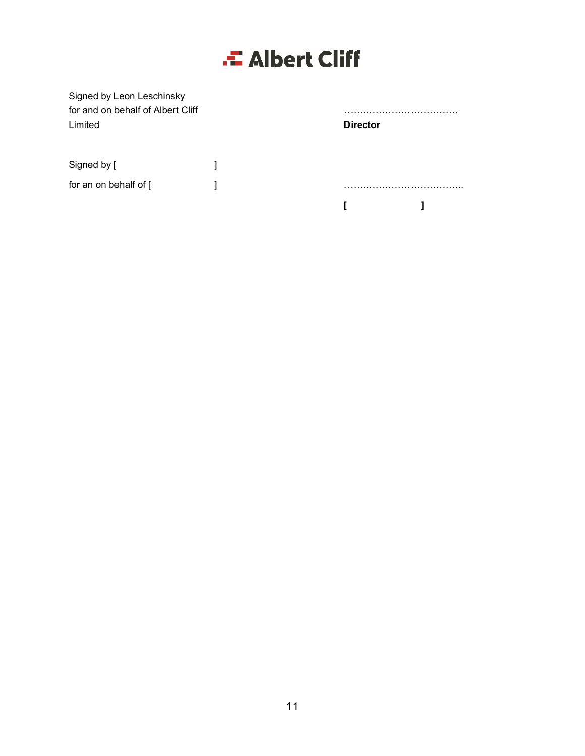| Signed by Leon Leschinsky<br>for and on behalf of Albert Cliff<br>Limited | .<br><b>Director</b> |   |
|---------------------------------------------------------------------------|----------------------|---|
| Signed by [                                                               |                      |   |
| for an on behalf of [                                                     |                      | . |
|                                                                           |                      |   |